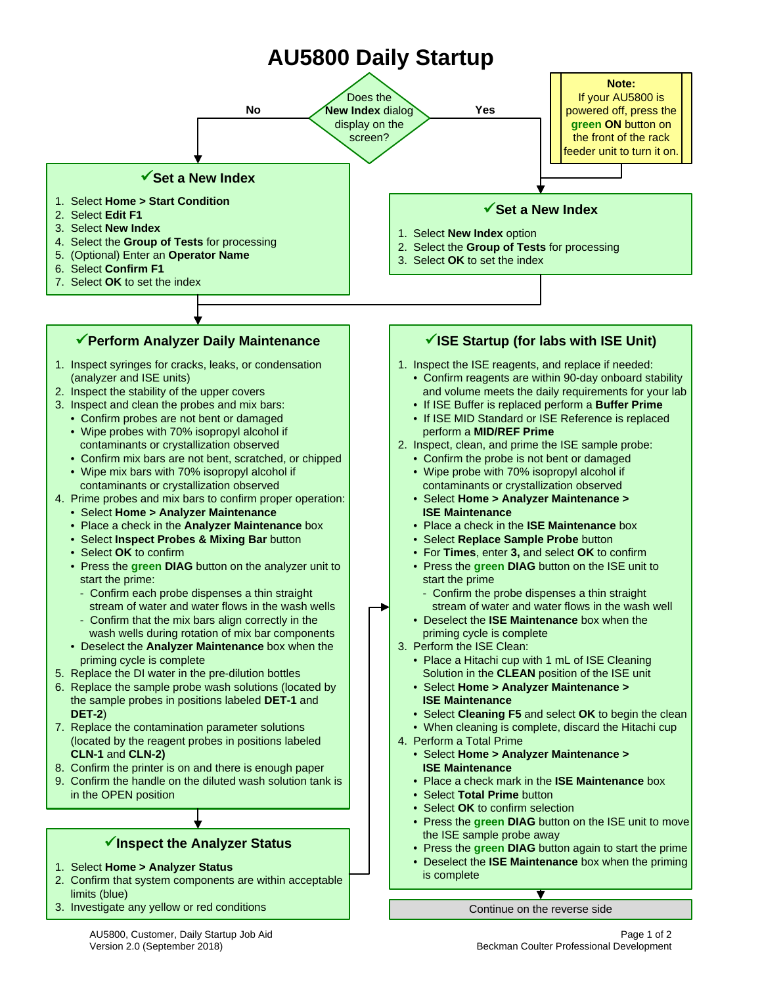# **AU5800 Daily Startup**



3. Investigate any yellow or red conditions Continue on the reverse side